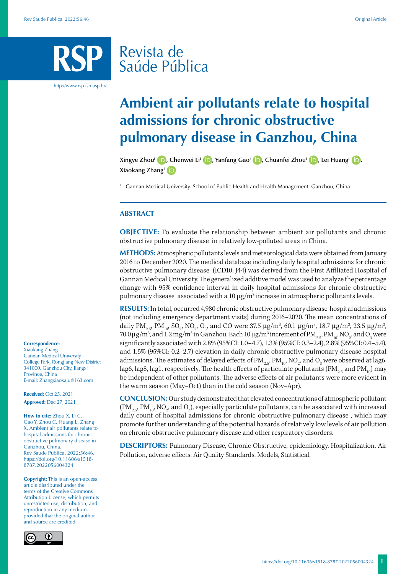# Revista de Saúde Pública

http://www.rsp.fsp.usp.br/

# **Ambient air pollutants relate to hospital admissions for chronic obstructive pulmonary disease in Ganzhou, China**

**Xingye Zhou<sup>I</sup> <b>D**[,](https://orcid.org/0000-0002-5422-5470) Chenwei Li<sup>I</sup> **D**[,](https://orcid.org/0000-0003-1546-1590) Yanfang Gao<sup>I</sup> **D**, Chuanfei Zhou<sup>I</sup> **D**, Lei Huang<sup>I</sup> **D**, **Xiaokang ZhangI**

<sup>1</sup> Gannan Medical University. School of Public Health and Health Management. Ganzhou, China

# **ABSTRACT**

**OBJECTIVE:** To evaluate the relationship between ambient air pollutants and chronic obstructive pulmonary disease in relatively low-polluted areas in China.

**METHODS:** Atmospheric pollutants levels and meteorological data were obtained from January 2016 to December 2020. The medical database including daily hospital admissions for chronic obstructive pulmonary disease (ICD10: J44) was derived from the First Affiliated Hospital of Gannan Medical University. The generalized additive model was used to analyze the percentage change with 95% confidence interval in daily hospital admissions for chronic obstructive pulmonary disease associated with a  $10 \mu g/m^3$  increase in atmospheric pollutants levels.

**RESULTS:** In total, occurred 4,980 chronic obstructive pulmonary disease hospital admissions (not including emergency department visits) during 2016–2020. The mean concentrations of daily  $\text{PM}_{2.5}$ ,  $\text{PM}_{10}$ , SO<sub>2</sub>, NO<sub>2</sub>, O<sub>3</sub>, and CO were 37.5  $\mu$ g/m<sup>3</sup>, 60.1  $\mu$ g/m<sup>3</sup>, 18.7  $\mu$ g/m<sup>3</sup>, 23.5  $\mu$ g/m<sup>3</sup>, 70.0 μg/m<sup>3</sup>, and 1.2 mg/m<sup>3</sup> in Ganzhou. Each 10 μg/m<sup>3</sup> increment of PM<sub>2.5</sub>, PM<sub>10</sub>, NO<sub>2</sub>, and O<sub>3</sub> were significantly associated with 2.8% (95%CI: 1.0–4.7), 1.3% (95%CI: 0.3–2.4), 2.8% (95%CI: 0.4–5.4), and 1.5% (95%CI: 0.2–2.7) elevation in daily chronic obstructive pulmonary disease hospital admissions. The estimates of delayed effects of  $\rm PM_{_{2.57}}$   $\rm PM_{_{10}}$ ,  $\rm NO_{_2}$ , and  $\rm O_{_3}$  were observed at lag6, lag6, lag8, lag1, respectively. The health effects of particulate pollutants ( $PM_{2.5}$  and  $PM_{10}$ ) may be independent of other pollutants. The adverse effects of air pollutants were more evident in the warm season (May–Oct) than in the cold season (Nov–Apr).

**CONCLUSION:** Our study demonstrated that elevated concentrations of atmospheric pollutant  $(\text{PM}_{_{2.5}}, \text{PM}_{_{10}}, \text{NO}_{_2}, \text{and O}_{_3})$ , especially particulate pollutants, can be associated with increased daily count of hospital admissions for chronic obstructive pulmonary disease , which may promote further understanding of the potential hazards of relatively low levels of air pollution on chronic obstructive pulmonary disease and other respiratory disorders.

**DESCRIPTORS:** Pulmonary Disease, Chronic Obstructive, epidemiology. Hospitalization. Air Pollution, adverse effects. Air Quality Standards. Models, Statistical.

#### **Correspondence:**

Xiaokang Zhang Gannan Medical University College Park, Rongjiang New District 341000, Ganzhou City, Jiangxi Province, China E-mail: Zhangxiaokaju@163.com

**Received:** Oct 25, 2021 **Approved:** Dec 27, 2021

**How to cite:** Zhou X, Li C, Gao Y, Zhou C, Huang L, Zhang X. Ambient air pollutants relate to hospital admissions for chronic obstructive pulmonary disease in Ganzhou, China. Rev Saude Publica. 2022;56:46. https://doi.org/10.11606/s1518- 8787.2022056004324

**Copyright:** This is an open-access article distributed under the terms of the Creative Commons Attribution License, which permits unrestricted use, distribution, and reproduction in any medium, provided that the original author and source are credited.

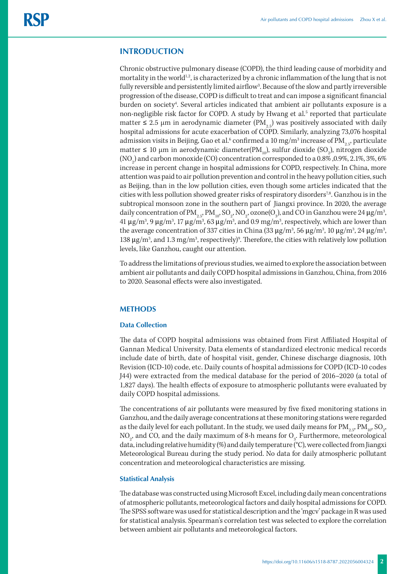# **INTRODUCTION**

Chronic obstructive pulmonary disease (COPD), the third leading cause of morbidity and mortality in the world<sup>1,2</sup>, is characterized by a chronic inflammation of the lung that is not fully reversible and persistently limited airflow<sup>3</sup>. Because of the slow and partly irreversible progression of the disease, COPD is difficult to treat and can impose a significant financial burden on society<sup>4</sup>. Several articles indicated that ambient air pollutants exposure is a non-negligible risk factor for COPD. A study by Hwang et al.<sup>5</sup> reported that particulate matter  $\leq 2.5$  µm in aerodynamic diameter (PM<sub>2.5</sub>) was positively associated with daily hospital admissions for acute exacerbation of COPD. Similarly, analyzing 73,076 hospital admission visits in Beijing, Gao et al. $^6$  confirmed a 10 mg/m $^3$  increase of PM $_{\rm 2.5^{\prime}}$  particulate matter ≤ 10 μm in aerodynamic diameter(PM<sub>10</sub>), sulfur dioxide (SO<sub>2</sub>), nitrogen dioxide  $(\mathrm{NO}_2)$  and carbon monoxide (CO) concentration corresponded to a 0.8% ,0.9%, 2.1%, 3%, 6% increase in percent change in hospital admissions for COPD, respectively. In China, more attention was paid to air pollution prevention and control in the heavy pollution cities, such as Beijing, than in the low pollution cities, even though some articles indicated that the cities with less pollution showed greater risks of respiratory disorders<sup>7,8</sup>. Ganzhou is in the subtropical monsoon zone in the southern part of Jiangxi province. In 2020, the average daily concentration of PM $_{2.5}$ , PM $_{10}$ , SO $_2$ , NO $_2$ , ozone(O $_3$ ), and CO in Ganzhou were 24  $\mu$ g/m $^3$ , 41 μg/m<sup>3</sup>, 9 μg/m<sup>3</sup>, 17 μg/m<sup>3</sup>, 63 μg/m<sup>3</sup>, and 0.9 mg/m<sup>3</sup>, respectively, which are lower than the average concentration of 337 cities in China (33 μg/m<sup>3</sup>, 56 μg/m<sup>3</sup>, 10 μg/m<sup>3</sup>, 24 μg/m<sup>3</sup>, 138  $\mu$ g/m<sup>3</sup>, and 1.3 mg/m<sup>3</sup>, respectively)<sup>9</sup>. Therefore, the cities with relatively low pollution levels, like Ganzhou, caught our attention.

To address the limitations of previous studies, we aimed to explore the association between ambient air pollutants and daily COPD hospital admissions in Ganzhou, China, from 2016 to 2020. Seasonal effects were also investigated.

# **METHODS**

# **Data Collection**

The data of COPD hospital admissions was obtained from First Affiliated Hospital of Gannan Medical University. Data elements of standardized electronic medical records include date of birth, date of hospital visit, gender, Chinese discharge diagnosis, 10th Revision (ICD-10) code, etc. Daily counts of hospital admissions for COPD (ICD-10 codes J44) were extracted from the medical database for the period of 2016–2020 (a total of 1,827 days). The health effects of exposure to atmospheric pollutants were evaluated by daily COPD hospital admissions.

The concentrations of air pollutants were measured by five fixed monitoring stations in Ganzhou, and the daily average concentrations at these monitoring stations were regarded as the daily level for each pollutant. In the study, we used daily means for  $\text{PM}_{_{2.5}}, \text{PM}_{_{10}}, \text{SO}_{_2},$ NO<sub>2</sub>, and CO, and the daily maximum of 8-h means for O<sub>3</sub>. Furthermore, meteorological data, including relative humidity (%) and daily temperature (°C), were collected from Jiangxi Meteorological Bureau during the study period. No data for daily atmospheric pollutant concentration and meteorological characteristics are missing.

#### **Statistical Analysis**

The database was constructed using Microsoft Excel, including daily mean concentrations of atmospheric pollutants, meteorological factors and daily hospital admissions for COPD. The SPSS software was used for statistical description and the 'mgcv' package in R was used for statistical analysis. Spearman's correlation test was selected to explore the correlation between ambient air pollutants and meteorological factors.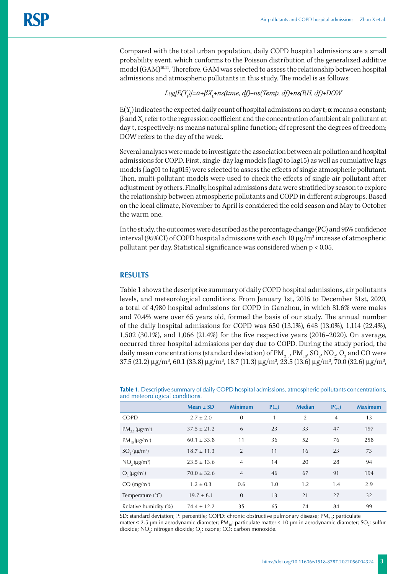Compared with the total urban population, daily COPD hospital admissions are a small probability event, which conforms to the Poisson distribution of the generalized additive model (GAM)<sup>10,11</sup>. Therefore, GAM was selected to assess the relationship between hospital admissions and atmospheric pollutants in this study. The model is as follows:

# *Log[E(Y*<sup>t</sup> *)]=α+βX*<sup>t</sup> *+ns(time, df)+ns(Temp, df)+ns(RH, df)+DOW*

 $E(Y_t)$  indicates the expected daily count of hospital admissions on day t;  $\alpha$  means a constant;  $\beta$  and  $X_t$  refer to the regression coefficient and the concentration of ambient air pollutant at day t, respectively; ns means natural spline function; df represent the degrees of freedom; DOW refers to the day of the week.

Several analyses were made to investigate the association between air pollution and hospital admissions for COPD. First, single-day lag models (lag0 to lag15) as well as cumulative lags models (lag01 to lag015) were selected to assess the effects of single atmospheric pollutant. Then, multi-pollutant models were used to check the effects of single air pollutant after adjustment by others. Finally, hospital admissions data were stratified by season to explore the relationship between atmospheric pollutants and COPD in different subgroups. Based on the local climate, November to April is considered the cold season and May to October the warm one.

In the study, the outcomes were described as the percentage change (PC) and 95% confidence interval (95%CI) of COPD hospital admissions with each 10  $\mu$ g/m $^3$  increase of atmospheric pollutant per day. Statistical significance was considered when p < 0.05.

# **RESULTS**

Table 1 shows the descriptive summary of daily COPD hospital admissions, air pollutants levels, and meteorological conditions. From January 1st, 2016 to December 31st, 2020, a total of 4,980 hospital admissions for COPD in Ganzhou, in which 81.6% were males and 70.4% were over 65 years old, formed the basis of our study. The annual number of the daily hospital admissions for COPD was 650 (13.1%), 648 (13.0%), 1,114 (22.4%), 1,502 (30.1%), and 1,066 (21.4%) for the five respective years (2016–2020). On average, occurred three hospital admissions per day due to COPD. During the study period, the daily mean concentrations (standard deviation) of  $\text{PM}_{_{2.5}}, \text{PM}_{_{10}}, \text{SO}_{_2}, \text{NO}_{_2}, \text{O}_{_3}$  and CO were 37.5 (21.2) μg/m<sup>3</sup>, 60.1 (33.8) μg/m<sup>3</sup>, 18.7 (11.3) μg/m<sup>3</sup>, 23.5 (13.6) μg/m<sup>3</sup>, 70.0 (32.6) μg/m<sup>3</sup>,

**Table 1.** Descriptive summary of daily COPD hospital admissions, atmospheric pollutants concentrations, and meteorological conditions.

|                                | Mean $\pm$ SD   | <b>Minimum</b> | $P_{25}$ | <b>Median</b> | $P(_{75})$     | <b>Maximum</b> |
|--------------------------------|-----------------|----------------|----------|---------------|----------------|----------------|
| <b>COPD</b>                    | $2.7 \pm 2.0$   | $\mathbf{0}$   | 1        | 2             | $\overline{4}$ | 13             |
| $PM_{25} (\mu g/m^3)$          | $37.5 \pm 21.2$ | 6              | 23       | 33            | 47             | 197            |
| $PM_{10}$ (µg/m <sup>3</sup> ) | $60.1 \pm 33.8$ | 11             | 36       | 52            | 76             | 258            |
| $SO2(\mu g/m^3)$               | $18.7 \pm 11.3$ | $\overline{2}$ | 11       | 16            | 23             | 73             |
| $NO2(\mu g/m3)$                | $23.5 \pm 13.6$ | $\overline{4}$ | 14       | 20            | 28             | 94             |
| $O2(\mu g/m^3)$                | $70.0 \pm 32.6$ | $\overline{4}$ | 46       | 67            | 91             | 194            |
| $CO \ (mg/m3)$                 | $1.2 \pm 0.3$   | 0.6            | 1.0      | 1.2           | 1.4            | 2.9            |
| Temperature $(^{\circ}C)$      | $19.7 \pm 8.1$  | $\overline{0}$ | 13       | 21            | 27             | 32             |
| Relative humidity (%)          | $74.4 \pm 12.2$ | 35             | 65       | 74            | 84             | 99             |

SD: standard deviation; P: percentile; COPD: chronic obstructive pulmonary disease; PM<sub>25</sub>: particulate matter ≤ 2.5 μm in aerodynamic diameter; PM<sub>10</sub>: particulate matter ≤ 10 μm in aerodynamic diameter; SO<sub>2</sub>: sulfur dioxide; NO<sub>2</sub>: nitrogen dioxide; O<sub>3</sub>: ozone; CO: carbon monoxide.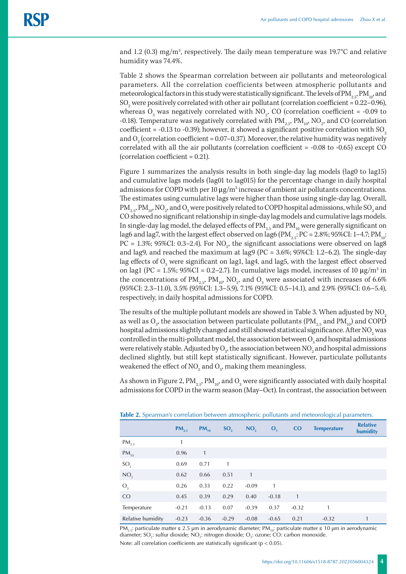and 1.2 (0.3) mg/m<sup>3</sup>, respectively. The daily mean temperature was 19.7°C and relative humidity was 74.4%.

Table 2 shows the Spearman correlation between air pollutants and meteorological parameters. All the correlation coefficients between atmospheric pollutants and meteorological factors in this study were statistically significant. The levels of PM<sub>25</sub>, PM<sub>10</sub>, and  $\mathrm{SO}_2$  were positively correlated with other air pollutant (correlation coefficient = 0.22–0.96), whereas  $O_3$  was negatively correlated with NO<sub>2</sub>, CO (correlation coefficient = -0.09 to -0.18). Temperature was negatively correlated with PM $_{_{2.5^{\prime}}}$  PM $_{_{10^{\prime}}}$ , NO $_{_2^{\prime}}$ , and CO (correlation coefficient = -0.13 to -0.39); however, it showed a significant positive correlation with  $SO_2$ and  $O_3$  (correlation coefficient = 0.07–0.37). Moreover, the relative humidity was negatively correlated with all the air pollutants (correlation coefficient = -0.08 to -0.65) except CO (correlation coefficient  $= 0.21$ ).

Figure 1 summarizes the analysis results in both single-day lag models (lag0 to lag15) and cumulative lags models (lag01 to lag015) for the percentage change in daily hospital admissions for COPD with per  $10 \mu g/m^3$  increase of ambient air pollutants concentrations. The estimates using cumulative lags were higher than those using single-day lag. Overall,  $\text{PM}_{2.5}$ ,  $\text{PM}_{10}$ , NO<sub>2</sub>, and O<sub>3</sub> were positively related to COPD hospital admissions, while SO<sub>2</sub> and CO showed no significant relationship in single-day lag models and cumulative lags models. In single-day lag model, the delayed effects of  $PM_{2.5}$  and  $PM_{10}$  were generally significant on lag6 and lag7, with the largest effect observed on lag6 ( $\text{PM}_{2.5}$ : PC = 2.8%; 95%CI: 1–4.7; PM<sub>10</sub>: PC = 1.3%; 95%CI: 0.3–2.4). For NO<sub>2</sub>, the significant associations were observed on lag8 and lag9, and reached the maximum at lag9 (PC = 3.6%; 95%CI: 1.2–6.2). The single-day lag effects of  $\mathrm{O}_3^{}$  were significant on lag1, lag4, and lag5, with the largest effect observed on lag1 (PC = 1.5%; 95%CI = 0.2–2.7). In cumulative lags model, increases of 10 μg/m<sup>3</sup> in the concentrations of PM<sub>2.5</sub>, PM<sub>10</sub>, NO<sub>2</sub>, and O<sub>3</sub> were associated with increases of 6.6% (95%CI: 2.3–11.0), 3.5% (95%CI: 1.3–5.9), 7.1% (95%CI: 0.5–14.1), and 2.9% (95%CI: 0.6–5.4), respectively, in daily hospital admissions for COPD.

The results of the multiple pollutant models are showed in Table 3. When adjusted by NO<sub>2</sub> as well as  $\mathrm{O}_{3}$ , the association between particulate pollutants (PM $_{2.5}$  and PM $_{10}$ ) and COPD hospital admissions slightly changed and still showed statistical significance. After NO<sub>2</sub> was controlled in the multi-pollutant model, the association between  $\mathrm{O}_\mathrm{3}$  and hospital admissions were relatively stable. Adjusted by  $\mathrm{O}_{\mathfrak{z}},$  the association between  $\mathrm{NO}_{\mathfrak{z}}$  and hospital admissions declined slightly, but still kept statistically significant. However, particulate pollutants weakened the effect of NO<sub>2</sub> and O<sub>3</sub>, making them meaningless.

As shown in Figure 2, PM $_{\rm 2.5}$ , PM $_{\rm 10}$ , and  $\rm O_3$  were significantly associated with daily hospital admissions for COPD in the warm season (May–Oct). In contrast, the association between

|                   | $PM_{2.5}$ | $PM_{10}$      | SO <sub>2</sub> | NO <sub>2</sub> | $\mathbf{O}_3$ | $\overline{c}$ | <b>Temperature</b> | <b>Relative</b><br>humidity |
|-------------------|------------|----------------|-----------------|-----------------|----------------|----------------|--------------------|-----------------------------|
| $PM_{2.5}$        | 1          |                |                 |                 |                |                |                    |                             |
| $PM_{10}$         | 0.96       | $\overline{1}$ |                 |                 |                |                |                    |                             |
| SO <sub>2</sub>   | 0.69       | 0.71           | 1               |                 |                |                |                    |                             |
| NO <sub>2</sub>   | 0.62       | 0.66           | 0.51            | $\mathbf{1}$    |                |                |                    |                             |
| $O_3$             | 0.26       | 0.33           | 0.22            | $-0.09$         | 1              |                |                    |                             |
| CO                | 0.45       | 0.39           | 0.29            | 0.40            | $-0.18$        | $\mathbf{1}$   |                    |                             |
| Temperature       | $-0.21$    | $-0.13$        | 0.07            | $-0.39$         | 0.37           | $-0.32$        | 1                  |                             |
| Relative humidity | $-0.23$    | $-0.36$        | $-0.29$         | $-0.08$         | $-0.65$        | 0.21           | $-0.32$            |                             |

**Table 2.** Spearman's correlation between atmospheric pollutants and meteorological parameters.

PM<sub>25</sub>: particulate matter ≤ 2.5 μm in aerodynamic diameter; PM<sub>10</sub>: particulate matter ≤ 10 μm in aerodynamic diameter; SO<sub>2</sub>: sulfur dioxide; NO<sub>2</sub>: nitrogen dioxide; O<sub>3</sub>: ozone; CO: carbon monoxide. Note: all correlation coefficients are statistically significant (p < 0.05).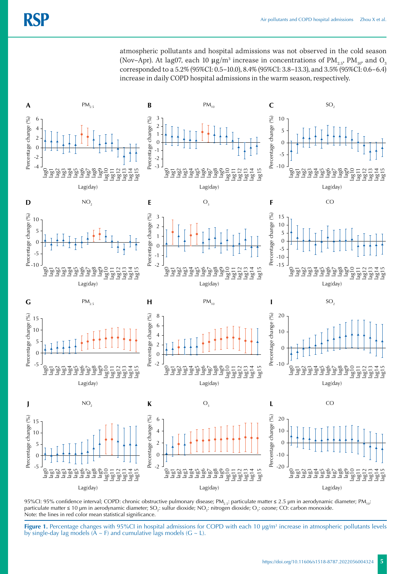atmospheric pollutants and hospital admissions was not observed in the cold season (Nov–Apr). At lag07, each 10 μg/m $^3$  increase in concentrations of PM $_{\rm 2.5'}$  PM $_{\rm 10'}$  and O $_{\rm 3}$ corresponded to a 5.2% (95%CI: 0.5–10.0), 8.4% (95%CI: 3.8–13.3), and 3.5% (95%CI: 0.6–6.4) increase in daily COPD hospital admissions in the warm season, respectively.



95%CI: 95% confidence interval; COPD: chronic obstructive pulmonary disease; PM<sub>2.5</sub>: particulate matter ≤ 2.5 µm in aerodynamic diameter; PM<sub>10</sub>: particulate matter ≤ 10 µm in aerodynamic diameter; SO<sub>2</sub>: sulfur dioxide; NO<sub>2</sub>: nitrogen dioxide; O<sub>3</sub>: ozone; CO: carbon monoxide. Note: the lines in red color mean statistical significance.

**Figure 1.** Percentage changes with 95%CI in hospital admissions for COPD with each 10 µg/m<sup>3</sup> increase in atmospheric pollutants levels by single-day lag models ( $\tilde{A} \sim F$ ) and cumulative lags models ( $G \sim L$ ).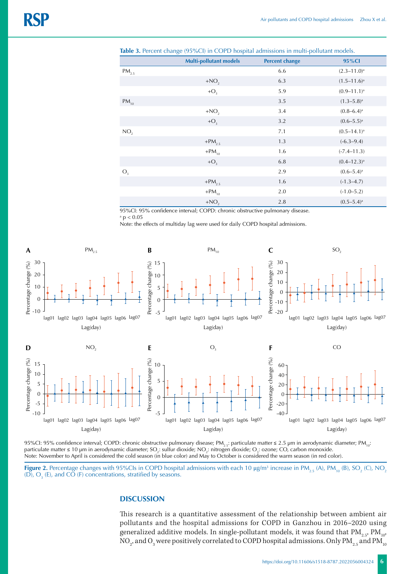|                 | <b>Multi-pollutant models</b> | <b>Percent change</b> | 95%CI                    |
|-----------------|-------------------------------|-----------------------|--------------------------|
| $PM_{2.5}$      |                               | 6.6                   | $(2.3 - 11.0)^a$         |
|                 | $+NO2$                        | 6.3                   | $(1.5 - 11.6)^a$         |
|                 | $+O_3$                        | 5.9                   | $(0.9 - 11.1)^a$         |
| $PM_{10}$       |                               | 3.5                   | $(1.3-5.8)^a$            |
|                 | $+NO2$                        | 3.4                   | $(0.8 - 6.4)^a$          |
|                 | $+O3$                         | 3.2                   | $(0.6 - 5.5)^a$          |
| NO <sub>2</sub> |                               | 7.1                   | $(0.5 - 14.1)^a$         |
|                 | $+PM_{2.5}$                   | 1.3                   | $(-6.3 - 9.4)$           |
|                 | $+PM_{10}$                    | 1.6                   | $(-7.4 - 11.3)$          |
|                 | $+O3$                         | 6.8                   | $(0.4 - 12.3)^a$         |
| $O_3$           |                               | 2.9                   | $(0.6-5.4)$ <sup>a</sup> |
|                 | $+PM_{2.5}$                   | 1.6                   | $(-1.3-4.7)$             |
|                 | $+PM_{10}$                    | 2.0                   | $(-1.0 - 5.2)$           |
|                 | $+NO2$                        | 2.8                   | $(0.5-5.4)$ <sup>a</sup> |

**Table 3.** Percent change (95%CI) in COPD hospital admissions in multi-pollutant models.

95%CI: 95% confidence interval; COPD: chronic obstructive pulmonary disease.  $a$  p  $< 0.05$ 

Note: the effects of multiday lag were used for daily COPD hospital admissions.



95%CI: 95% confidence interval; COPD: chronic obstructive pulmonary disease; PM<sub>2.5</sub>: particulate matter ≤ 2.5 µm in aerodynamic diameter; PM<sub>10</sub>: particulate matter ≤ 10 µm in aerodynamic diameter; SO<sub>2</sub>: sulfur dioxide; NO<sub>2</sub>: nitrogen dioxide; O<sub>3</sub>: ozone; CO, carbon monoxide. Note: November to April is considered the cold season (in blue color) and May to October is considered the warm season (in red color).

**Figure 2.** Percentage changes with 95%CIs in COPD hospital admissions with each 10  $\mu$ g/m<sup>3</sup> increase in PM<sub>2.5</sub> (A), PM<sub>10</sub> (B), SO<sub>2</sub> (C), NO<sub>2</sub> (D),  $O_3$  (E), and CO (F) concentrations, stratified by seasons.

#### **DISCUSSION**

This research is a quantitative assessment of the relationship between ambient air pollutants and the hospital admissions for COPD in Ganzhou in 2016–2020 using generalized additive models. In single-pollutant models, it was found that  $\text{PM}_{2.5}$ ,  $\text{PM}_{10}$ , NO $_2^{}$ , and O $_3^{}$  were positively correlated to COPD hospital admissions. Only PM $_{_{2.5}}$  and PM  $_{_{\rm IC}}$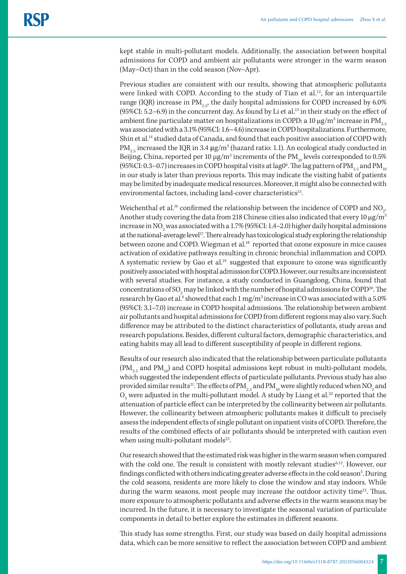kept stable in multi-pollutant models. Additionally, the association between hospital admissions for COPD and ambient air pollutants were stronger in the warm season (May–Oct) than in the cold season (Nov–Apr).

Previous studies are consistent with our results, showing that atmospheric pollutants were linked with COPD. According to the study of Tian et al.<sup>12</sup>, for an interquartile range (IQR) increase in  $PM_{2.5}$ , the daily hospital admissions for COPD increased by 6.0% (95%CI: 5.2–6.9) in the concurrent day. As found by Li et al.13 in their study on the effect of ambient fine particulate matter on hospitalizations in COPD: a 10  $\mu$ g/m $^3$  increase in PM $_{\text{2.5}}$ was associated with a 3.1% (95%CI: 1.6–4.6) increase in COPD hospitalizations. Furthermore, Shin et al.14 studied data of Canada, and found that each positive association of COPD with PM $_{2.5}$  increased the IQR in 3.4 μg/m $^3$  (hazard ratio: 1.1). An ecological study conducted in Beijing, China, reported per 10  $\mu$ g/m $^3$  increments of the PM $_{\rm 10}$  levels corresponded to 0.5% (95%CI: 0.3–0.7) increases in COPD hospital visits at lag0 $^6$ . The lag pattern of PM $_{_{2.5}}$  and PM  $_{_{\rm IC}}$ in our study is later than previous reports. This may indicate the visiting habit of patients may be limited by inadequate medical resources. Moreover, it might also be connected with environmental factors, including land-cover characteristics<sup>15</sup>.

Weichenthal et al.<sup>16</sup> confirmed the relationship between the incidence of COPD and NO<sub>2</sub>. Another study covering the data from 218 Chinese cities also indicated that every 10  $\mu$ g/m<sup>3</sup> increase in NO<sub>2</sub> was associated with a 1.7% (95%CI: 1.4–2.0) higher daily hospital admissions at the national-average level<sup>17</sup>. There already has toxicological study exploring the relationship between ozone and COPD. Wiegman et al.<sup>18</sup> reported that ozone exposure in mice causes activation of oxidative pathways resulting in chronic bronchial inflammation and COPD. A systematic review by Gao et al.<sup>19</sup> suggested that exposure to ozone was significantly positively associated with hospital admission for COPD. However, our results are inconsistent with several studies. For instance, a study conducted in Guangdong, China, found that concentrations of SO<sub>2</sub> may be linked with the number of hospital admissions for COPD<sup>20</sup>. The research by Gao et al. $^6$  showed that each 1 mg/m $^3$  increase in CO was associated with a 5.0% (95%CI: 3.1–7.0) increase in COPD hospital admissions. The relationship between ambient air pollutants and hospital admissions for COPD from different regions may also vary. Such difference may be attributed to the distinct characteristics of pollutants, study areas and research populations. Besides, different cultural factors, demographic characteristics, and eating habits may all lead to different susceptibility of people in different regions.

Results of our research also indicated that the relationship between particulate pollutants  $(PM<sub>2.5</sub>$  and PM<sub>10</sub>) and COPD hospital admissions kept robust in multi-pollutant models, which suggested the independent effects of particulate pollutants. Previous study has also provided similar results $^{21}$ . The effects of PM $_{_{2.5}}$  and PM  $_{_{10}}$  were slightly reduced when NO  $_{\rm 2}$  and  $\rm O_{3}$  were adjusted in the multi-pollutant model. A study by Liang et al. $^{22}$  reported that the attenuation of particle effect can be interpreted by the collinearity between air pollutants. However, the collinearity between atmospheric pollutants makes it difficult to precisely assess the independent effects of single pollutant on inpatient visits of COPD. Therefore, the results of the combined effects of air pollutants should be interpreted with caution even when using multi-pollutant models $^{23}$ .

Our research showed that the estimated risk was higher in the warm season when compared with the cold one. The result is consistent with mostly relevant studies<sup>6,12</sup>. However, our findings conflicted with others indicating greater adverse effects in the cold season<sup>5</sup>. During the cold seasons, residents are more likely to close the window and stay indoors. While during the warm seasons, most people may increase the outdoor activity time<sup>12</sup>. Thus, more exposure to atmospheric pollutants and adverse effects in the warm seasons may be incurred. In the future, it is necessary to investigate the seasonal variation of particulate components in detail to better explore the estimates in different seasons.

This study has some strengths. First, our study was based on daily hospital admissions data, which can be more sensitive to reflect the association between COPD and ambient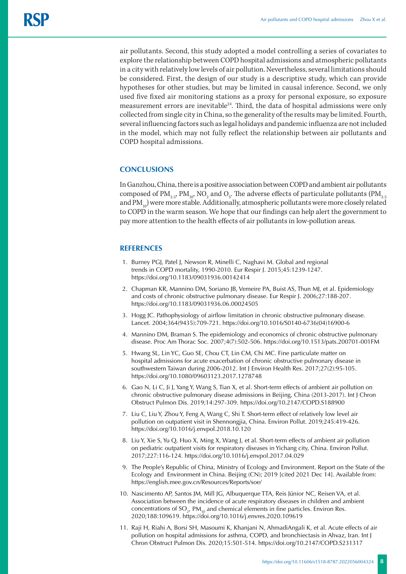air pollutants. Second, this study adopted a model controlling a series of covariates to explore the relationship between COPD hospital admissions and atmospheric pollutants in a city with relatively low levels of air pollution. Nevertheless, several limitations should be considered. First, the design of our study is a descriptive study, which can provide hypotheses for other studies, but may be limited in causal inference. Second, we only used five fixed air monitoring stations as a proxy for personal exposure, so exposure measurement errors are inevitable<sup>24</sup>. Third, the data of hospital admissions were only collected from single city in China, so the generality of the results may be limited. Fourth, several influencing factors such as legal holidays and pandemic influenza are not included in the model, which may not fully reflect the relationship between air pollutants and COPD hospital admissions.

# **CONCLUSIONS**

In Ganzhou, China, there is a positive association between COPD and ambient air pollutants composed of PM $_{\rm 2.5}$  PM $_{\rm 10}$ , NO $_{\rm 2}$  and O $_{\rm 3}$ . The adverse effects of particulate pollutants (PM $_{\rm 2.5}$ and  $PM_{10}$ ) were more stable. Additionally, atmospheric pollutants were more closely related to COPD in the warm season. We hope that our findings can help alert the government to pay more attention to the health effects of air pollutants in low-pollution areas.

# **REFERENCES**

- 1. Burney PGJ, Patel J, Newson R, Minelli C, Naghavi M. Global and regional trends in COPD mortality, 1990-2010. Eur Respir J. 2015;45:1239-1247. https://doi.org/10.1183/09031936.00142414
- 2. Chapman KR, Mannino DM, Soriano JB, Vemeire PA, Buist AS, Thun MJ, et al. Epidemiology and costs of chronic obstructive pulmonary disease. Eur Respir J. 2006;27:188-207. https://doi.org/10.1183/09031936.06.00024505
- 3. Hogg JC. Pathophysiology of airflow limitation in chronic obstructive pulmonary disease. Lancet. 2004;364(9435):709-721. https://doi.org/10.1016/S0140-6736(04)16900-6
- 4. Mannino DM, Braman S. The epidemiology and economics of chronic obstructive pulmonary disease. Proc Am Thorac Soc. 2007;4(7):502-506. https://doi.org/10.1513/pats.200701-001FM
- 5. Hwang SL, Lin YC, Guo SE, Chou CT, Lin CM, Chi MC. Fine particulate matter on hospital admissions for acute exacerbation of chronic obstructive pulmonary disease in southwestern Taiwan during 2006-2012. Int J Environ Health Res. 2017;27(2):95-105. https://doi.org/10.1080/09603123.2017.1278748
- 6. Gao N, Li C, Ji J, Yang Y, Wang S, Tian X, et al. Short-term effects of ambient air pollution on chronic obstructive pulmonary disease admissions in Beijing, China (2013-2017). Int J Chron Obstruct Pulmon Dis. 2019;14:297-309. https://doi.org/10.2147/COPD.S188900
- 7. Liu C, Liu Y, Zhou Y, Feng A, Wang C, Shi T. Short-term effect of relatively low level air pollution on outpatient visit in Shennongjia, China. Environ Pollut. 2019;245:419-426. https://doi.org/10.1016/j.envpol.2018.10.120
- 8. Liu Y, Xie S, Yu Q, Huo X, Ming X, Wang J, et al. Short-term effects of ambient air pollution on pediatric outpatient visits for respiratory diseases in Yichang city, China. Environ Pollut. 2017;227:116-124. https://doi.org/10.1016/j.envpol.2017.04.029
- 9. The People's Republic of China, Ministry of Ecology and Environment. Report on the State of the Ecology and Environment in China. Beijing (CN); 2019 [cited 2021 Dec 14]. Available from: <https://english.mee.gov.cn/Resources/Reports/soe/>
- 10. Nascimento AP, Santos JM, Mill JG, Albuquerque TTA, Reis Júnior NC, Reisen VA, et al. Association between the incidence of acute respiratory diseases in children and ambient concentrations of  $SO_{2}$ , PM<sub>10</sub> and chemical elements in fine particles. Environ Res. 2020;188:109619. https://doi.org/10.1016/j.envres.2020.109619
- 11. Raji H, Riahi A, Borsi SH, Masoumi K, Khanjani N, AhmadiAngali K, et al. Acute effects of air pollution on hospital admissions for asthma, COPD, and bronchiectasis in Ahvaz, Iran. Int J Chron Obstruct Pulmon Dis. 2020;15:501-514. https://doi.org/10.2147/COPD.S231317